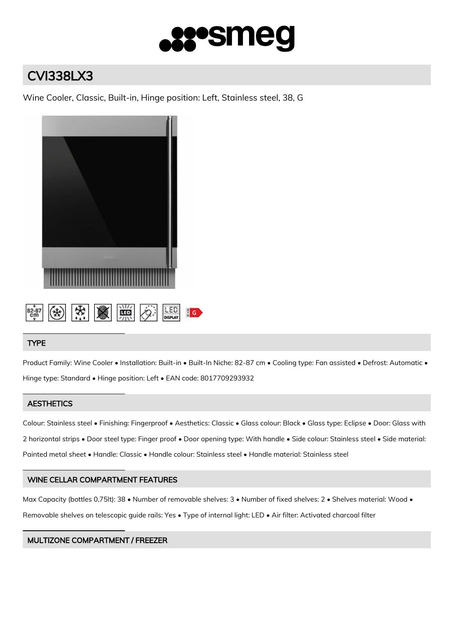

# CVI338LX3

Wine Cooler, Classic, Built-in, Hinge position: Left, Stainless steel, 38, G



# TYPE

Product Family: Wine Cooler • Installation: Built-in • Built-In Niche: 82-87 cm • Cooling type: Fan assisted • Defrost: Automatic • Hinge type: Standard • Hinge position: Left • EAN code: 8017709293932

# **AESTHETICS**

Colour: Stainless steel • Finishing: Fingerproof • Aesthetics: Classic • Glass colour: Black • Glass type: Eclipse • Door: Glass with 2 horizontal strips • Door steel type: Finger proof • Door opening type: With handle • Side colour: Stainless steel • Side material: Painted metal sheet • Handle: Classic • Handle colour: Stainless steel • Handle material: Stainless steel

# WINE CELLAR COMPARTMENT FEATURES

Max Capacity (bottles 0,75lt): 38 • Number of removable shelves: 3 • Number of fixed shelves: 2 • Shelves material: Wood • Removable shelves on telescopic guide rails: Yes • Type of internal light: LED • Air filter: Activated charcoal filter

# MULTIZONE COMPARTMENT / FREEZER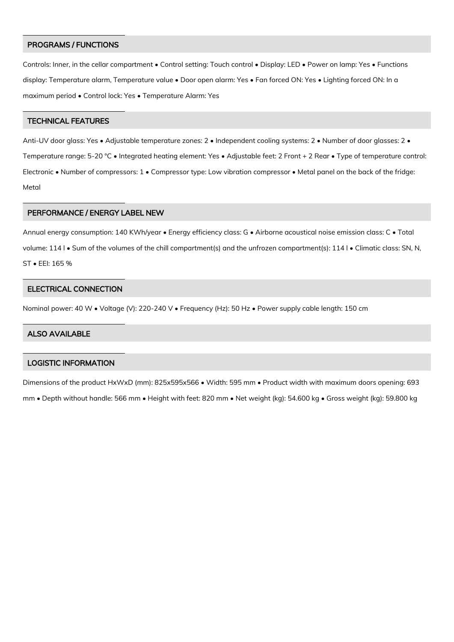#### PROGRAMS / FUNCTIONS

Controls: Inner, in the cellar compartment • Control setting: Touch control • Display: LED • Power on lamp: Yes • Functions display: Temperature alarm, Temperature value • Door open alarm: Yes • Fan forced ON: Yes • Lighting forced ON: In a maximum period • Control lock: Yes • Temperature Alarm: Yes

#### TECHNICAL FEATURES

Anti-UV door glass: Yes • Adjustable temperature zones: 2 • Independent cooling systems: 2 • Number of door glasses: 2 • Temperature range: 5-20 °C • Integrated heating element: Yes • Adjustable feet: 2 Front + 2 Rear • Type of temperature control: Electronic • Number of compressors: 1 • Compressor type: Low vibration compressor • Metal panel on the back of the fridge: Metal

#### PERFORMANCE / ENERGY LABEL NEW

Annual energy consumption: 140 KWh/year • Energy efficiency class: G • Airborne acoustical noise emission class: C • Total volume: 114 l • Sum of the volumes of the chill compartment(s) and the unfrozen compartment(s): 114 l • Climatic class: SN, N, ST • EEI: 165 %

#### ELECTRICAL CONNECTION

Nominal power: 40 W • Voltage (V): 220-240 V • Frequency (Hz): 50 Hz • Power supply cable length: 150 cm

#### ALSO AVAILABLE

# LOGISTIC INFORMATION

Dimensions of the product HxWxD (mm): 825x595x566 • Width: 595 mm • Product width with maximum doors opening: 693 mm • Depth without handle: 566 mm • Height with feet: 820 mm • Net weight (kg): 54.600 kg • Gross weight (kg): 59.800 kg